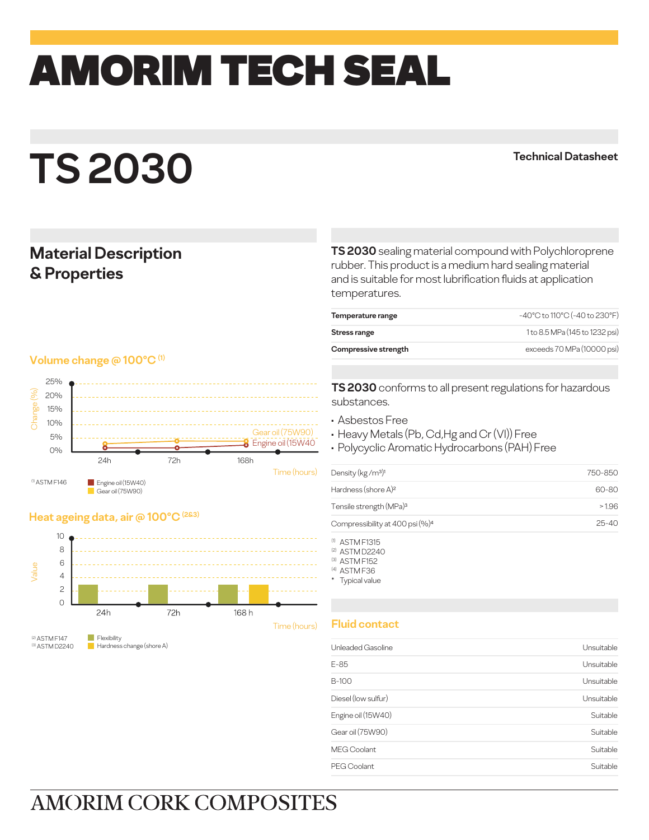# amorim TECH SEAL

## **TS 2030**

#### **Technical Datasheet**

### **Material Description & Properties**

#### **Volume change @ 100°C (1)**



#### **Heat ageing data, air @ 100°C (2&3)**



(2) ASTM F147 (3) ASTM D2240 Hardness change (shore A)

**TS 2030** sealing material compound with Polychloroprene rubber. This product is a medium hard sealing material and is suitable for most lubrification fluids at application temperatures.

| Temperature range    | -40°C to 110°C (-40 to 230°F)  |
|----------------------|--------------------------------|
| Stress range         | 1 to 8.5 MPa (145 to 1232 psi) |
| Compressive strength | exceeds 70 MPa (10000 psi)     |

**TS 2030** conforms to all present regulations for hazardous substances.

- Asbestos Free
- Heavy Metals (Pb, Cd,Hg and Cr (VI)) Free
- Polycyclic Aromatic Hydrocarbons (PAH) Free

| Density ( $kg/m3$ ) <sup>1</sup>            | 750-850   |
|---------------------------------------------|-----------|
| Hardness (shore A) <sup>2</sup>             | 60-80     |
| Tensile strength (MPa) <sup>3</sup>         | >1.96     |
| Compressibility at 400 psi (%) <sup>4</sup> | $25 - 40$ |

(1) ASTM F1315

(2) ASTM D2240

(3) ASTM F152 (4) ASTM F36

\* Typical value

#### **Fluid contact**

| E-85<br>B-100       | Unsuitable<br>Unsuitable |
|---------------------|--------------------------|
|                     |                          |
|                     |                          |
| Diesel (low sulfur) | Unsuitable               |
| Engine oil (15W40)  | Suitable                 |
| Gear oil (75W90)    | Suitable                 |
| <b>MEG Coolant</b>  | Suitable                 |
| PEG Coolant         | Suitable                 |

## **AMORIM CORK COMPOSITES**